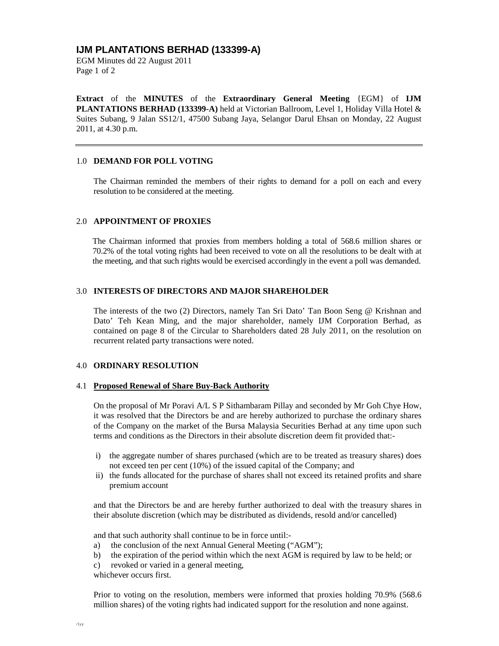## **IJM PLANTATIONS BERHAD (133399-A)**

EGM Minutes dd 22 August 2011 Page 1 of 2

**Extract** of the **MINUTES** of the **Extraordinary General Meeting** {EGM} of **IJM PLANTATIONS BERHAD (133399-A)** held at Victorian Ballroom, Level 1, Holiday Villa Hotel & Suites Subang, 9 Jalan SS12/1, 47500 Subang Jaya, Selangor Darul Ehsan on Monday, 22 August 2011, at 4.30 p.m.

#### 1.0 **DEMAND FOR POLL VOTING**

The Chairman reminded the members of their rights to demand for a poll on each and every resolution to be considered at the meeting.

#### 2.0 **APPOINTMENT OF PROXIES**

The Chairman informed that proxies from members holding a total of 568.6 million shares or 70.2% of the total voting rights had been received to vote on all the resolutions to be dealt with at the meeting, and that such rights would be exercised accordingly in the event a poll was demanded.

## 3.0 **INTERESTS OF DIRECTORS AND MAJOR SHAREHOLDER**

The interests of the two (2) Directors, namely Tan Sri Dato' Tan Boon Seng @ Krishnan and Dato' Teh Kean Ming, and the major shareholder, namely IJM Corporation Berhad, as contained on page 8 of the Circular to Shareholders dated 28 July 2011, on the resolution on recurrent related party transactions were noted.

#### 4.0 **ORDINARY RESOLUTION**

#### 4.1 **Proposed Renewal of Share Buy-Back Authority**

On the proposal of Mr Poravi A/L S P Sithambaram Pillay and seconded by Mr Goh Chye How, it was resolved that the Directors be and are hereby authorized to purchase the ordinary shares of the Company on the market of the Bursa Malaysia Securities Berhad at any time upon such terms and conditions as the Directors in their absolute discretion deem fit provided that:-

- i) the aggregate number of shares purchased (which are to be treated as treasury shares) does not exceed ten per cent (10%) of the issued capital of the Company; and
- ii) the funds allocated for the purchase of shares shall not exceed its retained profits and share premium account

and that the Directors be and are hereby further authorized to deal with the treasury shares in their absolute discretion (which may be distributed as dividends, resold and/or cancelled)

and that such authority shall continue to be in force until:-

- a) the conclusion of the next Annual General Meeting ("AGM");
- b) the expiration of the period within which the next AGM is required by law to be held; or
- c) revoked or varied in a general meeting,

whichever occurs first.

Prior to voting on the resolution, members were informed that proxies holding 70.9% (568.6 million shares) of the voting rights had indicated support for the resolution and none against.